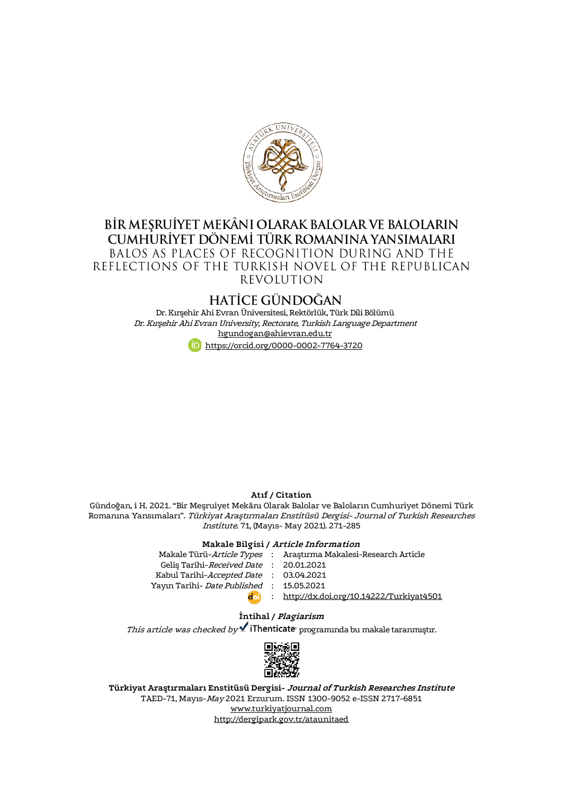

## BİR MEŞRUİYET MEKÂNI OLARAK BALOLAR VE BALOLARIN CUMHURIYET DÖNEMI TÜRK ROMANINA YANSIMALARI BALOS AS PLACES OF RECOGNITION DURING AND THE REFLECTIONS OF THE TURKISH NOVEL OF THE REPUBLICAN **REVOLUTION**

# **HATİCE GÜNDOĞAN**

Dr. Kırşehir Ahi Evran Üniversitesi, Rektörlük, Türk Dili Bölümü Dr. Kırşehir Ahi Evran University, Rectorate, Turkish LanguageDepartment [hgundogan@ahievran.edu.tr](mailto:hgundogan@ahievran.edu.tr) <https://orcid.org/0000-0002-7764-3720>

#### **Atıf / Citation**

Gündoğan, i H. 2021. "Bir Meşruiyet Mekânı Olarak Balolar ve Baloların Cumhuriyet Dönemi Türk Romanına Yansımaları". Türkiyat Araştırmaları Enstitüsü Dergisi- Journal of Turkish Researches Institute. 71, (Mayıs- May 2021). 271-285

## **Makale Bilgisi / Article Information**

|                                                  | Makale Türü-Article Types : Araştırma Makalesi-Research Article |
|--------------------------------------------------|-----------------------------------------------------------------|
| Gelis Tarihi-Received Date : 20.01.2021          |                                                                 |
| Kabul Tarihi-Accepted Date : 03.04.2021          |                                                                 |
| Yayın Tarihi- <i>Date Published</i> : 15.05.2021 |                                                                 |
| d <sub>0</sub>                                   | : http://dx.doi.org/10.14222/Turkiyat4501                       |

## **İntihal / Plagiarism**

 $This$  article was checked by  $\blacktriangleleft$  iThenticate programında bu makale taranmıştır.



**Türkiyat Araştırmaları Enstitüsü Dergisi- Journal of Turkish Researches Institute** TAED-71, Mayıs-May 2021 Erzurum. ISSN 1300-9052 e-ISSN 2717-6851 [www.turkiyatjournal.com](http://www.turkiyatjournal.com/) <http://dergipark.gov.tr/ataunitaed>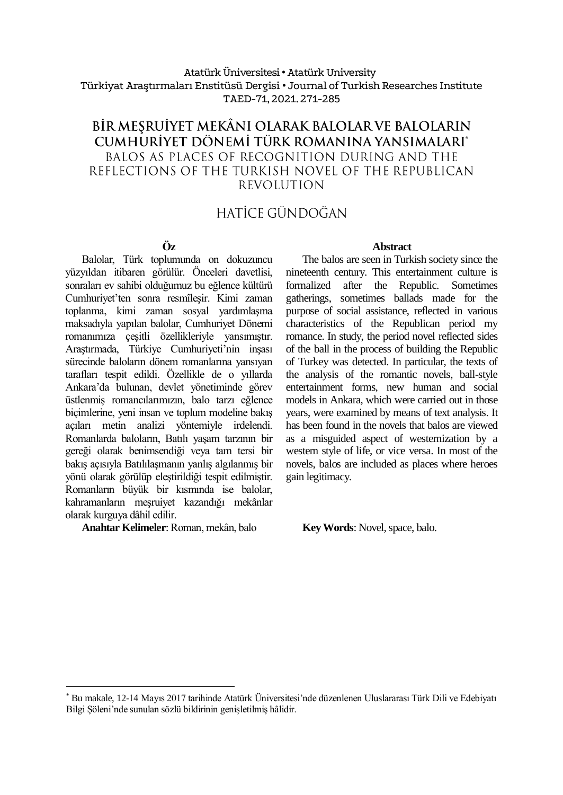## Atatürk Üniversitesi• Atatürk University Türkiyat Araştırmaları Enstitüsü Dergisi • Journal of Turkish Researches Institute TAED-71, 2021.271-285

# BİR MEŞRUİYET MEKÂNI OLARAK BALOLAR VE BALOLARIN CUMHURİYET DÖNEMİ TÜRK ROMANINA YANSIMALARI\* BALOS AS PLACES OF RECOGNITION DURING AND THE REFLECTIONS OF THE TURKISH NOVEL OF THE REPUBLICAN **REVOLUTION**

# HATİCE GÜNDOĞAN

## **Öz**

Balolar, Türk toplumunda on dokuzuncu yüzyıldan itibaren görülür. Önceleri davetlisi, sonraları ev sahibi olduğumuz bu eğlence kültürü Cumhuriyet'ten sonra resmîleşir. Kimi zaman toplanma, kimi zaman sosyal yardımlaşma maksadıyla yapılan balolar, Cumhuriyet Dönemi romanımıza çeşitli özellikleriyle yansımıştır. Araştırmada, Türkiye Cumhuriyeti'nin inşası sürecinde baloların dönem romanlarına yansıyan tarafları tespit edildi. Özellikle de o yıllarda Ankara'da bulunan, devlet yönetiminde görev üstlenmiş romancılarımızın, balo tarzı eğlence biçimlerine, yeni insan ve toplum modeline bakış açıları metin analizi yöntemiyle irdelendi. Romanlarda baloların, Batılı yaşam tarzının bir gereği olarak benimsendiği veya tam tersi bir bakış açısıyla Batılılaşmanın yanlış algılanmış bir yönü olarak görülüp eleştirildiği tespit edilmiştir. Romanların büyük bir kısmında ise balolar, kahramanların meşruiyet kazandığı mekânlar olarak kurguya dâhil edilir.

**Anahtar Kelimeler**: Roman, mekân, balo **Key Words**: Novel, space, balo.

 $\overline{a}$ 

#### **Abstract**

The balos are seen in Turkish society since the nineteenth century. This entertainment culture is formalized after the Republic. Sometimes gatherings, sometimes ballads made for the purpose of social assistance, reflected in various characteristics of the Republican period my romance. In study, the period novel reflected sides of the ball in the process of building the Republic of Turkey was detected. In particular, the texts of the analysis of the romantic novels, ball-style entertainment forms, new human and social models in Ankara, which were carried out in those years, were examined by means of text analysis. It has been found in the novels that balos are viewed as a misguided aspect of westernization by a western style of life, or vice versa. In most of the novels, balos are included as places where heroes gain legitimacy.

<sup>\*</sup> Bu makale, 12-14 Mayıs 2017 tarihinde Atatürk Üniversitesi'nde düzenlenen Uluslararası Türk Dili ve Edebiyatı Bilgi Şöleni'nde sunulan sözlü bildirinin genişletilmiş hâlidir.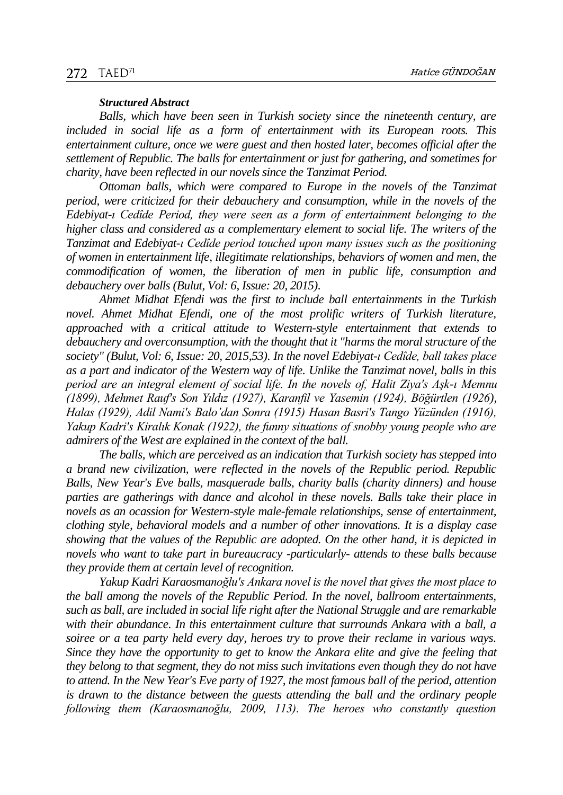#### *Structured Abstract*

*Balls, which have been seen in Turkish society since the nineteenth century, are included in social life as a form of entertainment with its European roots. This entertainment culture, once we were guest and then hosted later, becomes official after the settlement of Republic. The balls for entertainment or just for gathering, and sometimes for charity, have been reflected in our novels since the Tanzimat Period.*

*Ottoman balls, which were compared to Europe in the novels of the Tanzimat period, were criticized for their debauchery and consumption, while in the novels of the Edebiyat-ı Cedîde Period, they were seen as a form of entertainment belonging to the higher class and considered as a complementary element to social life. The writers of the Tanzimat and Edebiyat-ı Cedîde period touched upon many issues such as the positioning of women in entertainment life, illegitimate relationships, behaviors of women and men, the commodification of women, the liberation of men in public life, consumption and debauchery over balls (Bulut, Vol: 6, Issue: 20, 2015).*

*Ahmet Midhat Efendi was the first to include ball entertainments in the Turkish novel. Ahmet Midhat Efendi, one of the most prolific writers of Turkish literature, approached with a critical attitude to Western-style entertainment that extends to debauchery and overconsumption, with the thought that it "harms the moral structure of the society" (Bulut, Vol: 6, Issue: 20, 2015,53). In the novel Edebiyat-ı Cedîde, ball takes place as a part and indicator of the Western way of life. Unlike the Tanzimat novel, balls in this period are an integral element of social life. In the novels of, Halit Ziya's Aşk-ı Memnu (1899), Mehmet Rauf's Son Yıldız (1927), Karanfil ve Yasemin (1924), Böğürtlen (1926), Halas (1929), Adil Nami's Balo'dan Sonra (1915) Hasan Basri's Tango Yüzünden (1916), Yakup Kadri's Kiralık Konak (1922), the funny situations of snobby young people who are admirers of the West are explained in the context of the ball.* 

*The balls, which are perceived as an indication that Turkish society has stepped into a brand new civilization, were reflected in the novels of the Republic period. Republic Balls, New Year's Eve balls, masquerade balls, charity balls (charity dinners) and house parties are gatherings with dance and alcohol in these novels. Balls take their place in novels as an ocassion for Western-style male-female relationships, sense of entertainment, clothing style, behavioral models and a number of other innovations. It is a display case showing that the values of the Republic are adopted. On the other hand, it is depicted in novels who want to take part in bureaucracy -particularly- attends to these balls because they provide them at certain level of recognition.*

*Yakup Kadri Karaosmanoğlu's Ankara novel is the novel that gives the most place to the ball among the novels of the Republic Period. In the novel, ballroom entertainments, such as ball, are included in social life right after the National Struggle and are remarkable with their abundance. In this entertainment culture that surrounds Ankara with a ball, a soiree or a tea party held every day, heroes try to prove their reclame in various ways. Since they have the opportunity to get to know the Ankara elite and give the feeling that they belong to that segment, they do not miss such invitations even though they do not have to attend. In the New Year's Eve party of 1927, the most famous ball of the period, attention is drawn to the distance between the guests attending the ball and the ordinary people following them (Karaosmanoğlu, 2009, 113). The heroes who constantly question*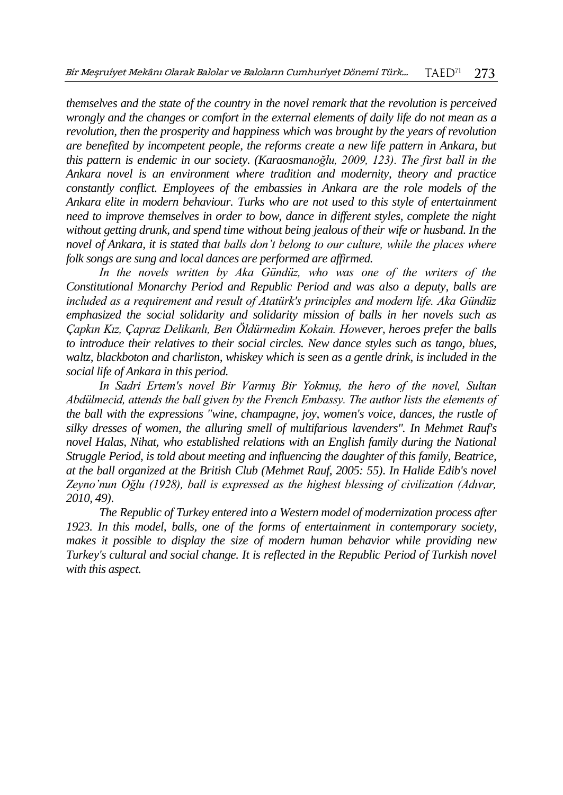*themselves and the state of the country in the novel remark that the revolution is perceived wrongly and the changes or comfort in the external elements of daily life do not mean as a revolution, then the prosperity and happiness which was brought by the years of revolution are benefited by incompetent people, the reforms create a new life pattern in Ankara, but this pattern is endemic in our society. (Karaosmanoğlu, 2009, 123). The first ball in the Ankara novel is an environment where tradition and modernity, theory and practice constantly conflict. Employees of the embassies in Ankara are the role models of the Ankara elite in modern behaviour. Turks who are not used to this style of entertainment need to improve themselves in order to bow, dance in different styles, complete the night without getting drunk, and spend time without being jealous of their wife or husband. In the novel of Ankara, it is stated that balls don't belong to our culture, while the places where folk songs are sung and local dances are performed are affirmed.*

*In the novels written by Aka Gündüz, who was one of the writers of the Constitutional Monarchy Period and Republic Period and was also a deputy, balls are included as a requirement and result of Atatürk's principles and modern life. Aka Gündüz emphasized the social solidarity and solidarity mission of balls in her novels such as Çapkın Kız, Çapraz Delikanlı, Ben Öldürmedim Kokain. However, heroes prefer the balls to introduce their relatives to their social circles. New dance styles such as tango, blues, waltz, blackboton and charliston, whiskey which is seen as a gentle drink, is included in the social life of Ankara in this period.*

*In Sadri Ertem's novel Bir Varmış Bir Yokmuş, the hero of the novel, Sultan Abdülmecid, attends the ball given by the French Embassy. The author lists the elements of the ball with the expressions "wine, champagne, joy, women's voice, dances, the rustle of silky dresses of women, the alluring smell of multifarious lavenders". In Mehmet Rauf's novel Halas, Nihat, who established relations with an English family during the National Struggle Period, is told about meeting and influencing the daughter of this family, Beatrice, at the ball organized at the British Club (Mehmet Rauf, 2005: 55). In Halide Edib's novel Zeyno'nun Oğlu (1928), ball is expressed as the highest blessing of civilization (Adıvar, 2010, 49).*

*The Republic of Turkey entered into a Western model of modernization process after 1923. In this model, balls, one of the forms of entertainment in contemporary society, makes it possible to display the size of modern human behavior while providing new Turkey's cultural and social change. It is reflected in the Republic Period of Turkish novel with this aspect.*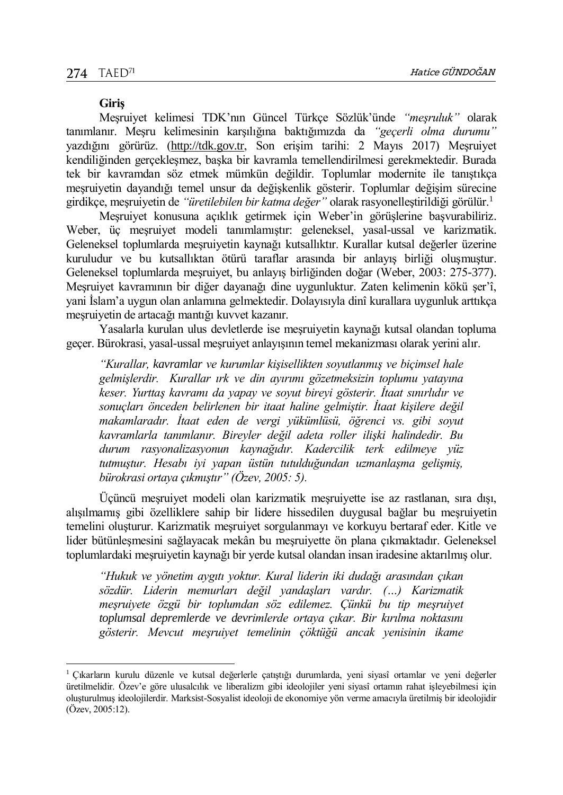$\overline{a}$ 

#### **Giriş**

Meşruiyet kelimesi TDK'nın Güncel Türkçe Sözlük'ünde *"meşruluk"* olarak tanımlanır. Meşru kelimesinin karşılığına baktığımızda da *"geçerli olma durumu"* yazdığını görürüz. [\(http://tdk.gov.tr,](http://tdk.gov.tr/) Son erişim tarihi: 2 Mayıs 2017) Meşruiyet kendiliğinden gerçekleşmez, başka bir kavramla temellendirilmesi gerekmektedir. Burada tek bir kavramdan söz etmek mümkün değildir. Toplumlar modernite ile tanıştıkça meşruiyetin dayandığı temel unsur da değişkenlik gösterir. Toplumlar değişim sürecine girdikçe, meşruiyetin de *"üretilebilen bir katma değer"* olarak rasyonelleştirildiği görülür.<sup>1</sup>

Meşruiyet konusuna açıklık getirmek için Weber'in görüşlerine başvurabiliriz. Weber, üç meşruiyet modeli tanımlamıştır: geleneksel, yasal-ussal ve karizmatik. Geleneksel toplumlarda meşruiyetin kaynağı kutsallıktır. Kurallar kutsal değerler üzerine kuruludur ve bu kutsallıktan ötürü taraflar arasında bir anlayış birliği oluşmuştur. Geleneksel toplumlarda meşruiyet, bu anlayış birliğinden doğar (Weber, 2003: 275-377). Meşruiyet kavramının bir diğer dayanağı dine uygunluktur. Zaten kelimenin kökü şer'î, yani İslam'a uygun olan anlamına gelmektedir. Dolayısıyla dinî kurallara uygunluk arttıkça meşruiyetin de artacağı mantığı kuvvet kazanır.

Yasalarla kurulan ulus devletlerde ise meşruiyetin kaynağı kutsal olandan topluma geçer. Bürokrasi, yasal-ussal meşruiyet anlayışının temel mekanizması olarak yerini alır.

*"Kurallar, kavramlar ve kurumlar kişisellikten soyutlanmış ve biçimsel hale gelmişlerdir. Kurallar ırk ve din ayırımı gözetmeksizin toplumu yatayına keser. Yurttaş kavramı da yapay ve soyut bireyi gösterir. İtaat sınırlıdır ve sonuçları önceden belirlenen bir itaat haline gelmiştir. İtaat kişilere değil makamlaradır. İtaat eden de vergi yükümlüsü, öğrenci vs. gibi soyut kavramlarla tanımlanır. Bireyler değil adeta roller ilişki halindedir. Bu durum rasyonalizasyonun kaynağıdır. Kadercilik terk edilmeye yüz tutmuştur. Hesabı iyi yapan üstün tutulduğundan uzmanlaşma gelişmiş, bürokrasi ortaya çıkmıştır" (Özev, 2005: 5).* 

Üçüncü meşruiyet modeli olan karizmatik meşruiyette ise az rastlanan, sıra dışı, alışılmamış gibi özelliklere sahip bir lidere hissedilen duygusal bağlar bu meşruiyetin temelini oluşturur. Karizmatik meşruiyet sorgulanmayı ve korkuyu bertaraf eder. Kitle ve lider bütünleşmesini sağlayacak mekân bu meşruiyette ön plana çıkmaktadır. Geleneksel toplumlardaki meşruiyetin kaynağı bir yerde kutsal olandan insan iradesine aktarılmış olur.

*"Hukuk ve yönetim aygıtı yoktur. Kural liderin iki dudağı arasından çıkan sözdür. Liderin memurları değil yandaşları vardır. (…) Karizmatik meşruiyete özgü bir toplumdan söz edilemez. Çünkü bu tip meşruiyet toplumsal depremlerde ve devrimlerde ortaya çıkar. Bir kırılma noktasını gösterir. Mevcut meşruiyet temelinin çöktüğü ancak yenisinin ikame* 

<sup>1</sup> Çıkarların kurulu düzenle ve kutsal değerlerle çatıştığı durumlarda, yeni siyasî ortamlar ve yeni değerler üretilmelidir. Özev'e göre ulusalcılık ve liberalizm gibi ideolojiler yeni siyasî ortamın rahat işleyebilmesi için oluşturulmuş ideolojilerdir. Marksist-Sosyalist ideoloji de ekonomiye yön verme amacıyla üretilmiş bir ideolojidir (Özev, 2005:12).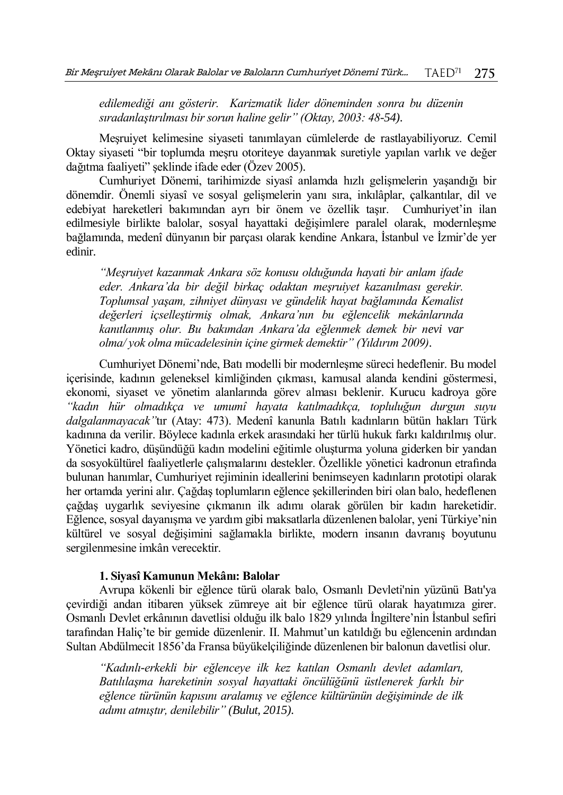*edilemediği anı gösterir. Karizmatik lider döneminden sonra bu düzenin sıradanlaştırılması bir sorun haline gelir" (Oktay, 2003: 48-54).*

Meşruiyet kelimesine siyaseti tanımlayan cümlelerde de rastlayabiliyoruz. Cemil Oktay siyaseti "bir toplumda meşru otoriteye dayanmak suretiyle yapılan varlık ve değer dağıtma faaliyeti" şeklinde ifade eder (Özev 2005).

Cumhuriyet Dönemi, tarihimizde siyasî anlamda hızlı gelişmelerin yaşandığı bir dönemdir. Önemli siyasî ve sosyal gelişmelerin yanı sıra, inkılâplar, çalkantılar, dil ve edebiyat hareketleri bakımından ayrı bir önem ve özellik taşır. Cumhuriyet'in ilan edilmesiyle birlikte balolar, sosyal hayattaki değişimlere paralel olarak, modernleşme bağlamında, medenî dünyanın bir parçası olarak kendine Ankara, İstanbul ve İzmir'de yer edinir.

*"Meşruiyet kazanmak Ankara söz konusu olduğunda hayati bir anlam ifade eder. Ankara'da bir değil birkaç odaktan meşruiyet kazanılması gerekir. Toplumsal yaşam, zihniyet dünyası ve gündelik hayat bağlamında Kemalist değerleri içselleştirmiş olmak, Ankara'nın bu eğlencelik mekânlarında kanıtlanmış olur. Bu bakımdan Ankara'da eğlenmek demek bir nevi var olma/ yok olma mücadelesinin içine girmek demektir" (Yıldırım 2009).*

Cumhuriyet Dönemi'nde, Batı modelli bir modernleşme süreci hedeflenir. Bu model içerisinde, kadının geleneksel kimliğinden çıkması, kamusal alanda kendini göstermesi, ekonomi, siyaset ve yönetim alanlarında görev alması beklenir. Kurucu kadroya göre *"kadın hür olmadıkça ve umumî hayata katılmadıkça, topluluğun durgun suyu dalgalanmayacak"*tır (Atay: 473). Medenî kanunla Batılı kadınların bütün hakları Türk kadınına da verilir. Böylece kadınla erkek arasındaki her türlü hukuk farkı kaldırılmış olur. Yönetici kadro, düşündüğü kadın modelini eğitimle oluşturma yoluna giderken bir yandan da sosyokültürel faaliyetlerle çalışmalarını destekler. Özellikle yönetici kadronun etrafında bulunan hanımlar, Cumhuriyet rejiminin ideallerini benimseyen kadınların prototipi olarak her ortamda yerini alır. Çağdaş toplumların eğlence şekillerinden biri olan balo, hedeflenen çağdaş uygarlık seviyesine çıkmanın ilk adımı olarak görülen bir kadın hareketidir. Eğlence, sosyal dayanışma ve yardım gibi maksatlarla düzenlenen balolar, yeni Türkiye'nin kültürel ve sosyal değişimini sağlamakla birlikte, modern insanın davranış boyutunu sergilenmesine imkân verecektir.

### **1. Siyasî Kamunun Mekânı: Balolar**

Avrupa kökenli bir eğlence türü olarak balo, Osmanlı Devleti'nin yüzünü Batı'ya çevirdiği andan itibaren yüksek zümreye ait bir eğlence türü olarak hayatımıza girer. Osmanlı Devlet erkânının davetlisi olduğu ilk balo 1829 yılında İngiltere'nin İstanbul sefiri tarafından Haliç'te bir gemide düzenlenir. II. Mahmut'un katıldığı bu eğlencenin ardından Sultan Abdülmecit 1856'da Fransa büyükelçiliğinde düzenlenen bir balonun davetlisi olur.

*"Kadınlı-erkekli bir eğlenceye ilk kez katılan Osmanlı devlet adamları, Batılılaşma hareketinin sosyal hayattaki öncülüğünü üstlenerek farklı bir eğlence türünün kapısını aralamış ve eğlence kültürünün değişiminde de ilk adımı atmıştır, denilebilir" (Bulut, 2015).*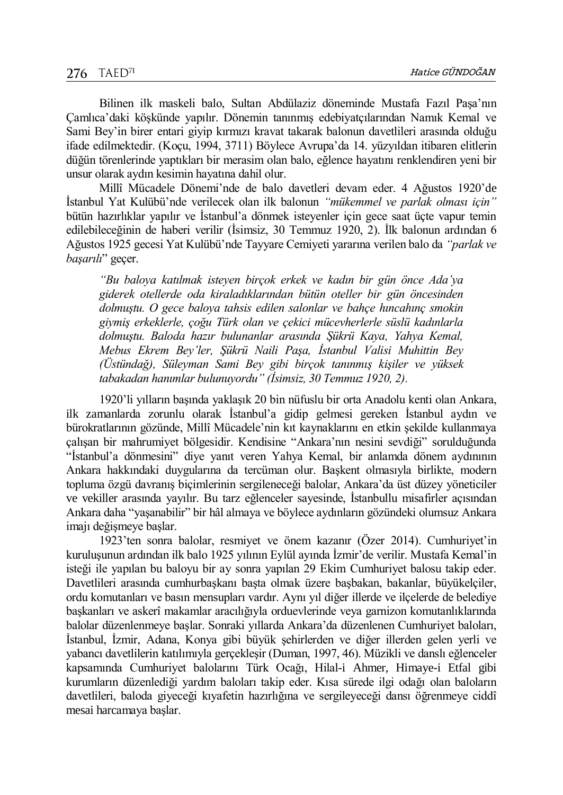Bilinen ilk maskeli balo, Sultan Abdülaziz döneminde Mustafa Fazıl Paşa'nın Çamlıca'daki köşkünde yapılır. Dönemin tanınmış edebiyatçılarından Namık Kemal ve Sami Bey'in birer entari giyip kırmızı kravat takarak balonun davetlileri arasında olduğu ifade edilmektedir. (Koçu, 1994, 3711) Böylece Avrupa'da 14. yüzyıldan itibaren elitlerin düğün törenlerinde yaptıkları bir merasim olan balo, eğlence hayatını renklendiren yeni bir unsur olarak aydın kesimin hayatına dahil olur.

Millî Mücadele Dönemi'nde de balo davetleri devam eder. 4 Ağustos 1920'de İstanbul Yat Kulübü'nde verilecek olan ilk balonun *"mükemmel ve parlak olması için"* bütün hazırlıklar yapılır ve İstanbul'a dönmek isteyenler için gece saat üçte vapur temin edilebileceğinin de haberi verilir (İsimsiz, 30 Temmuz 1920, 2). İlk balonun ardından 6 Ağustos 1925 gecesi Yat Kulübü'nde Tayyare Cemiyeti yararına verilen balo da *"parlak ve başarılı*" geçer.

*"Bu baloya katılmak isteyen birçok erkek ve kadın bir gün önce Ada'ya giderek otellerde oda kiraladıklarından bütün oteller bir gün öncesinden dolmuştu. O gece baloya tahsis edilen salonlar ve bahçe hıncahınç smokin giymiş erkeklerle, çoğu Türk olan ve çekici mücevherlerle süslü kadınlarla dolmuştu. Baloda hazır bulunanlar arasında Şükrü Kaya, Yahya Kemal, Mebus Ekrem Bey'ler, Şükrü Naili Paşa, İstanbul Valisi Muhittin Bey (Üstündağ), Süleyman Sami Bey gibi birçok tanınmış kişiler ve yüksek tabakadan hanımlar bulunuyordu" (İsimsiz, 30 Temmuz 1920, 2).*

1920'li yılların başında yaklaşık 20 bin nüfuslu bir orta Anadolu kenti olan Ankara, ilk zamanlarda zorunlu olarak İstanbul'a gidip gelmesi gereken İstanbul aydın ve bürokratlarının gözünde, Millî Mücadele'nin kıt kaynaklarını en etkin şekilde kullanmaya çalışan bir mahrumiyet bölgesidir. Kendisine "Ankara'nın nesini sevdiği" sorulduğunda "İstanbul'a dönmesini" diye yanıt veren Yahya Kemal, bir anlamda dönem aydınının Ankara hakkındaki duygularına da tercüman olur. Başkent olmasıyla birlikte, modern topluma özgü davranış biçimlerinin sergileneceği balolar, Ankara'da üst düzey yöneticiler ve vekiller arasında yayılır. Bu tarz eğlenceler sayesinde, İstanbullu misafirler açısından Ankara daha "yaşanabilir" bir hâl almaya ve böylece aydınların gözündeki olumsuz Ankara imajı değişmeye başlar.

1923'ten sonra balolar, resmiyet ve önem kazanır (Özer 2014). Cumhuriyet'in kuruluşunun ardından ilk balo 1925 yılının Eylül ayında İzmir'de verilir. Mustafa Kemal'in isteği ile yapılan bu baloyu bir ay sonra yapılan 29 Ekim Cumhuriyet balosu takip eder. Davetlileri arasında cumhurbaşkanı başta olmak üzere başbakan, bakanlar, büyükelçiler, ordu komutanları ve basın mensupları vardır. Aynı yıl diğer illerde ve ilçelerde de belediye başkanları ve askerî makamlar aracılığıyla orduevlerinde veya garnizon komutanlıklarında balolar düzenlenmeye başlar. Sonraki yıllarda Ankara'da düzenlenen Cumhuriyet baloları, İstanbul, İzmir, Adana, Konya gibi büyük şehirlerden ve diğer illerden gelen yerli ve yabancı davetlilerin katılımıyla gerçekleşir (Duman, 1997, 46). Müzikli ve danslı eğlenceler kapsamında Cumhuriyet balolarını Türk Ocağı, Hilal-i Ahmer, Himaye-i Etfal gibi kurumların düzenlediği yardım baloları takip eder. Kısa sürede ilgi odağı olan baloların davetlileri, baloda giyeceği kıyafetin hazırlığına ve sergileyeceği dansı öğrenmeye ciddî mesai harcamaya başlar.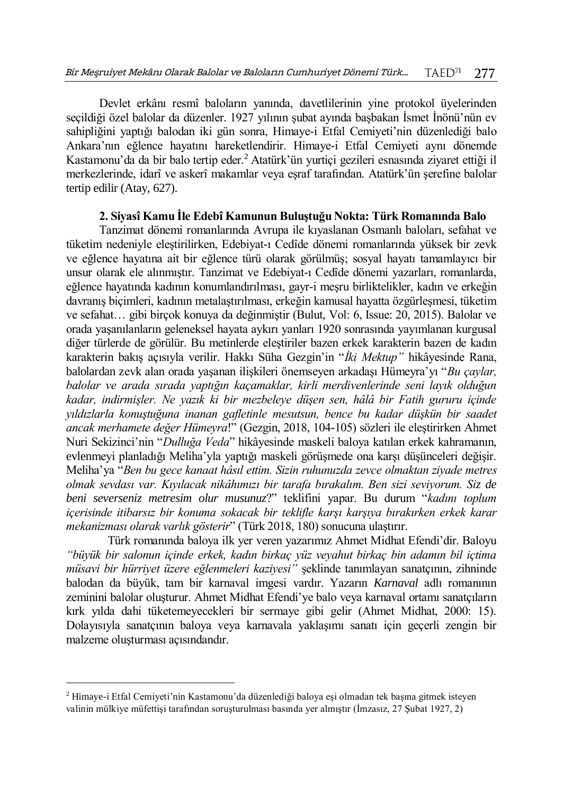Devlet erkânı resmî baloların yanında, davetlilerinin yine protokol üyelerinden seçildiği özel balolar da düzenler. 1927 yılının şubat ayında başbakan İsmet İnönü'nün ev sahipliğini yaptığı balodan iki gün sonra, Himaye-i Etfal Cemiyeti'nin düzenlediği balo Ankara'nın eğlence hayatını hareketlendirir. Himaye-i Etfal Cemiyeti aynı dönemde Kastamonu'da da bir balo tertip eder.<sup>2</sup> Atatürk'ün yurtiçi gezileri esnasında ziyaret ettiği il merkezlerinde, idarî ve askerî makamlar veya eşraf tarafından. Atatürk'ün şerefine balolar tertip edilir (Atay, 627).

## **2. Siyasî Kamu İle Edebî Kamunun Buluştuğu Nokta: Türk Romanında Balo**

Tanzimat dönemi romanlarında Avrupa ile kıyaslanan Osmanlı baloları, sefahat ve tüketim nedeniyle eleştirilirken, Edebiyat-ı Cedîde dönemi romanlarında yüksek bir zevk ve eğlence hayatına ait bir eğlence türü olarak görülmüş; sosyal hayatı tamamlayıcı bir unsur olarak ele alınmıştır. Tanzimat ve Edebiyat-ı Cedîde dönemi yazarları, romanlarda, eğlence hayatında kadının konumlandırılması, gayr-i meşru birliktelikler, kadın ve erkeğin davranış biçimleri, kadının metalaştırılması, erkeğin kamusal hayatta özgürleşmesi, tüketim ve sefahat… gibi birçok konuya da değinmiştir (Bulut, Vol: 6, Issue: 20, 2015). Balolar ve orada yaşanılanların geleneksel hayata aykırı yanları 1920 sonrasında yayımlanan kurgusal diğer türlerde de görülür. Bu metinlerde eleştiriler bazen erkek karakterin bazen de kadın karakterin bakış açısıyla verilir. Hakkı Süha Gezgin'in "*İki Mektup"* hikâyesinde Rana, balolardan zevk alan orada yaşanan ilişkileri önemseyen arkadaşı Hümeyra'yı "*Bu çaylar, balolar ve arada sırada yaptığın kaçamaklar, kirli merdivenlerinde seni layık olduğun kadar, indirmişler. Ne yazık ki bir mezbeleye düşen sen, hâlâ bir Fatih gururu içinde yıldızlarla konuştuğuna inanan gafletinle mesutsun, bence bu kadar düşkün bir saadet ancak merhamete değer Hümeyra*!" (Gezgin, 2018, 104-105) sözleri ile eleştirirken Ahmet Nuri Sekizinci'nin "*Dulluğa Veda*" hikâyesinde maskeli baloya katılan erkek kahramanın, evlenmeyi planladığı Meliha'yla yaptığı maskeli görüşmede ona karşı düşünceleri değişir. Meliha'ya "*Ben bu gece kanaat hâsıl ettim. Sizin ruhunuzda zevce olmaktan ziyade metres olmak sevdası var. Kıyılacak nikâhımızı bir tarafa bırakalım. Ben sizi seviyorum. Siz de beni severseniz metresim olur musunuz*?" teklifini yapar. Bu durum "*kadını toplum içerisinde itibarsız bir konuma sokacak bir teklifle karşı karşıya bırakırken erkek karar mekanizması olarak varlık gösterir*" (Türk 2018, 180) sonucuna ulaştırır.

Türk romanında baloya ilk yer veren yazarımız Ahmet Midhat Efendi'dir. Baloyu *"büyük bir salonun içinde erkek, kadın birkaç yüz veyahut birkaç bin adamın bil içtima müsavi bir hürriyet üzere eğlenmeleri kaziyesi"* şeklinde tanımlayan sanatçının, zihninde balodan da büyük, tam bir karnaval imgesi vardır. Yazarın *Karnaval* adlı romanının zeminini balolar oluşturur. Ahmet Midhat Efendi'ye balo veya karnaval ortamı sanatçıların kırk yılda dahi tüketemeyecekleri bir sermaye gibi gelir (Ahmet Midhat, 2000: 15). Dolayısıyla sanatçının baloya veya karnavala yaklaşımı sanatı için geçerli zengin bir malzeme oluşturması açısındandır.

 $\overline{a}$ 

<sup>2</sup> Himaye-i Etfal Cemiyeti'nin Kastamonu'da düzenlediği baloya eşi olmadan tek başına gitmek isteyen valinin mülkiye müfettişi tarafından soruşturulması basında yer almıştır (İmzasız, 27 Şubat 1927, 2)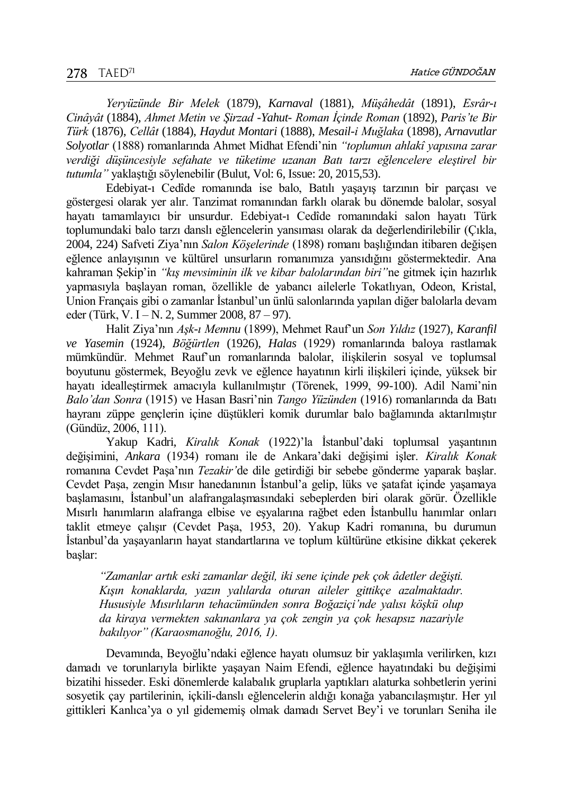*Yeryüzünde Bir Melek* (1879), *Karnaval* (1881), *Müşâhedât* (1891), *Esrâr-ı Cinâyât* (1884), *Ahmet Metin ve Şirzad -Yahut- Roman İçinde Roman* (1892), *Paris'te Bir Türk* (1876), *Cellât* (1884), *Haydut Montari* (1888), *Mesail-i Muğlaka* (1898), *Arnavutlar Solyotlar* (1888) romanlarında Ahmet Midhat Efendi'nin *"toplumun ahlakî yapısına zarar verdiği düşüncesiyle sefahate ve tüketime uzanan Batı tarzı eğlencelere eleştirel bir tutumla"* yaklaştığı söylenebilir (Bulut, Vol: 6, Issue: 20, 2015,53).

Edebiyat-ı Cedîde romanında ise balo, Batılı yaşayış tarzının bir parçası ve göstergesi olarak yer alır. Tanzimat romanından farklı olarak bu dönemde balolar, sosyal hayatı tamamlayıcı bir unsurdur. Edebiyat-ı Cedîde romanındaki salon hayatı Türk toplumundaki balo tarzı danslı eğlencelerin yansıması olarak da değerlendirilebilir (Çıkla, 2004, 224) Safveti Ziya'nın *Salon Köşelerinde* (1898) romanı başlığından itibaren değişen eğlence anlayışının ve kültürel unsurların romanımıza yansıdığını göstermektedir. Ana kahraman Şekip'in *"kış mevsiminin ilk ve kibar balolarından biri"*ne gitmek için hazırlık yapmasıyla başlayan roman, özellikle de yabancı ailelerle Tokatlıyan, Odeon, Kristal, Union Français gibi o zamanlar İstanbul'un ünlü salonlarında yapılan diğer balolarla devam eder (Türk, V. I – N. 2, Summer 2008, 87 – 97).

Halit Ziya'nın *Aşk-ı Memnu* (1899), Mehmet Rauf'un *Son Yıldız* (1927), *Karanfil ve Yasemin* (1924), *Böğürtlen* (1926), *Halas* (1929) romanlarında baloya rastlamak mümkündür. Mehmet Rauf'un romanlarında balolar, ilişkilerin sosyal ve toplumsal boyutunu göstermek, Beyoğlu zevk ve eğlence hayatının kirli ilişkileri içinde, yüksek bir hayatı idealleştirmek amacıyla kullanılmıştır (Törenek, 1999, 99-100). Adil Nami'nin *Balo'dan Sonra* (1915) ve Hasan Basri'nin *Tango Yüzünden* (1916) romanlarında da Batı hayranı züppe gençlerin içine düştükleri komik durumlar balo bağlamında aktarılmıştır (Gündüz, 2006, 111).

Yakup Kadri, *Kiralık Konak* (1922)'la İstanbul'daki toplumsal yaşantının değişimini, *Ankara* (1934) romanı ile de Ankara'daki değişimi işler. *Kiralık Konak*  romanına Cevdet Paşa'nın *Tezakir'*de dile getirdiği bir sebebe gönderme yaparak başlar. Cevdet Paşa, zengin Mısır hanedanının İstanbul'a gelip, lüks ve şatafat içinde yaşamaya başlamasını, İstanbul'un alafrangalaşmasındaki sebeplerden biri olarak görür. Özellikle Mısırlı hanımların alafranga elbise ve eşyalarına rağbet eden İstanbullu hanımlar onları taklit etmeye çalışır (Cevdet Paşa, 1953, 20). Yakup Kadri romanına, bu durumun İstanbul'da yaşayanların hayat standartlarına ve toplum kültürüne etkisine dikkat çekerek başlar:

*"Zamanlar artık eski zamanlar değil, iki sene içinde pek çok âdetler değişti. Kışın konaklarda, yazın yalılarda oturan aileler gittikçe azalmaktadır. Hususiyle Mısırlıların tehacümünden sonra Boğaziçi'nde yalısı köşkü olup da kiraya vermekten sakınanlara ya çok zengin ya çok hesapsız nazariyle bakılıyor" (Karaosmanoğlu, 2016, 1).*

Devamında, Beyoğlu'ndaki eğlence hayatı olumsuz bir yaklaşımla verilirken, kızı damadı ve torunlarıyla birlikte yaşayan Naim Efendi, eğlence hayatındaki bu değişimi bizatihi hisseder. Eski dönemlerde kalabalık gruplarla yaptıkları alaturka sohbetlerin yerini sosyetik çay partilerinin, içkili-danslı eğlencelerin aldığı konağa yabancılaşmıştır. Her yıl gittikleri Kanlıca'ya o yıl gidememiş olmak damadı Servet Bey'i ve torunları Seniha ile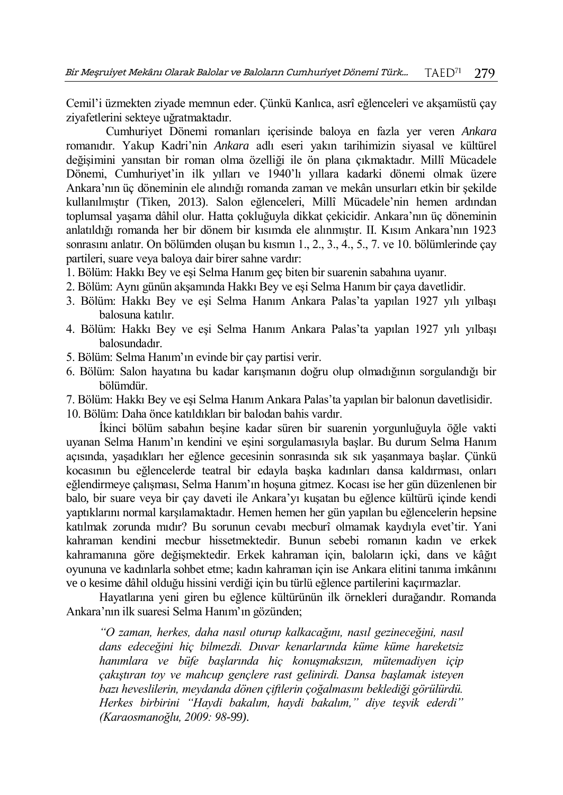Cemil'i üzmekten ziyade memnun eder. Çünkü Kanlıca, asrî eğlenceleri ve akşamüstü çay ziyafetlerini sekteye uğratmaktadır.

Cumhuriyet Dönemi romanları içerisinde baloya en fazla yer veren *Ankara* romanıdır. Yakup Kadri'nin *Ankara* adlı eseri yakın tarihimizin siyasal ve kültürel değişimini yansıtan bir roman olma özelliği ile ön plana çıkmaktadır. Millî Mücadele Dönemi, Cumhuriyet'in ilk yılları ve 1940'lı yıllara kadarki dönemi olmak üzere Ankara'nın üç döneminin ele alındığı romanda zaman ve mekân unsurları etkin bir şekilde kullanılmıştır (Tiken, 2013). Salon eğlenceleri, Millî Mücadele'nin hemen ardından toplumsal yaşama dâhil olur. Hatta çokluğuyla dikkat çekicidir. Ankara'nın üç döneminin anlatıldığı romanda her bir dönem bir kısımda ele alınmıştır. II. Kısım Ankara'nın 1923 sonrasını anlatır. On bölümden oluşan bu kısmın 1., 2., 3., 4., 5., 7. ve 10. bölümlerinde çay partileri, suare veya baloya dair birer sahne vardır:

- 1. Bölüm: Hakkı Bey ve eşi Selma Hanım geç biten bir suarenin sabahına uyanır.
- 2. Bölüm: Aynı günün akşamında Hakkı Bey ve eşi Selma Hanım bir çaya davetlidir.
- 3. Bölüm: Hakkı Bey ve eşi Selma Hanım Ankara Palas'ta yapılan 1927 yılı yılbaşı balosuna katılır.
- 4. Bölüm: Hakkı Bey ve eşi Selma Hanım Ankara Palas'ta yapılan 1927 yılı yılbaşı balosundadır.
- 5. Bölüm: Selma Hanım'ın evinde bir çay partisi verir.
- 6. Bölüm: Salon hayatına bu kadar karışmanın doğru olup olmadığının sorgulandığı bir bölümdür.
- 7. Bölüm: Hakkı Bey ve eşi Selma Hanım Ankara Palas'ta yapılan bir balonun davetlisidir.

10. Bölüm: Daha önce katıldıkları bir balodan bahis vardır.

İkinci bölüm sabahın beşine kadar süren bir suarenin yorgunluğuyla öğle vakti uyanan Selma Hanım'ın kendini ve eşini sorgulamasıyla başlar. Bu durum Selma Hanım açısında, yaşadıkları her eğlence gecesinin sonrasında sık sık yaşanmaya başlar. Çünkü kocasının bu eğlencelerde teatral bir edayla başka kadınları dansa kaldırması, onları eğlendirmeye çalışması, Selma Hanım'ın hoşuna gitmez. Kocası ise her gün düzenlenen bir balo, bir suare veya bir çay daveti ile Ankara'yı kuşatan bu eğlence kültürü içinde kendi yaptıklarını normal karşılamaktadır. Hemen hemen her gün yapılan bu eğlencelerin hepsine katılmak zorunda mıdır? Bu sorunun cevabı mecburî olmamak kaydıyla evet'tir. Yani kahraman kendini mecbur hissetmektedir. Bunun sebebi romanın kadın ve erkek kahramanına göre değişmektedir. Erkek kahraman için, baloların içki, dans ve kâğıt oyununa ve kadınlarla sohbet etme; kadın kahraman için ise Ankara elitini tanıma imkânını ve o kesime dâhil olduğu hissini verdiği için bu türlü eğlence partilerini kaçırmazlar.

Hayatlarına yeni giren bu eğlence kültürünün ilk örnekleri durağandır. Romanda Ankara'nın ilk suaresi Selma Hanım'ın gözünden;

*"O zaman, herkes, daha nasıl oturup kalkacağını, nasıl gezineceğini, nasıl dans edeceğini hiç bilmezdi. Duvar kenarlarında küme küme hareketsiz hanımlara ve büfe başlarında hiç konuşmaksızın, mütemadiyen içip çakıştıran toy ve mahcup gençlere rast gelinirdi. Dansa başlamak isteyen bazı heveslilerin, meydanda dönen çiftlerin çoğalmasını beklediği görülürdü. Herkes birbirini "Haydi bakalım, haydi bakalım," diye teşvik ederdi" (Karaosmanoğlu, 2009: 98-99).*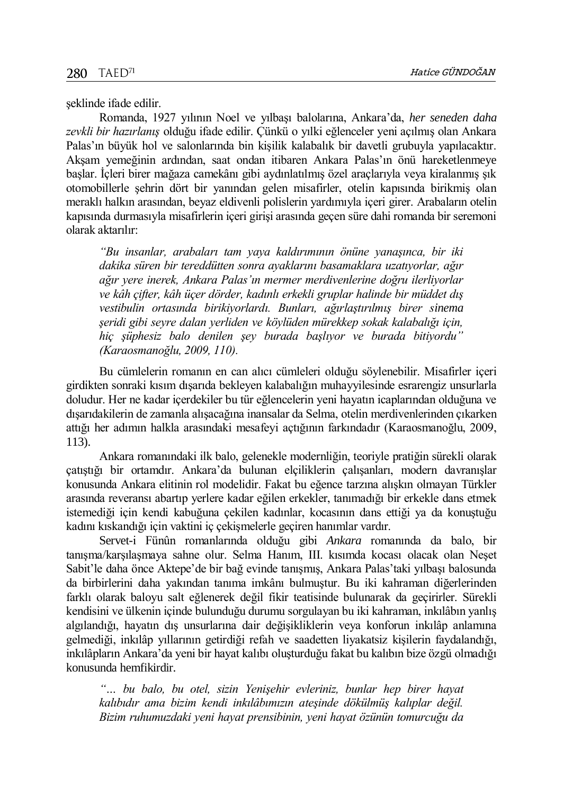şeklinde ifade edilir.

Romanda, 1927 yılının Noel ve yılbaşı balolarına, Ankara'da, *her seneden daha zevkli bir hazırlanış* olduğu ifade edilir. Çünkü o yılki eğlenceler yeni açılmış olan Ankara Palas'ın büyük hol ve salonlarında bin kişilik kalabalık bir davetli grubuyla yapılacaktır. Akşam yemeğinin ardından, saat ondan itibaren Ankara Palas'ın önü hareketlenmeye başlar. İçleri birer mağaza camekânı gibi aydınlatılmış özel araçlarıyla veya kiralanmış şık otomobillerle şehrin dört bir yanından gelen misafirler, otelin kapısında birikmiş olan meraklı halkın arasından, beyaz eldivenli polislerin yardımıyla içeri girer. Arabaların otelin kapısında durmasıyla misafirlerin içeri girişi arasında geçen süre dahi romanda bir seremoni olarak aktarılır:

*"Bu insanlar, arabaları tam yaya kaldırımının önüne yanaşınca, bir iki dakika süren bir tereddütten sonra ayaklarını basamaklara uzatıyorlar, ağır ağır yere inerek, Ankara Palas'ın mermer merdivenlerine doğru ilerliyorlar ve kâh çifter, kâh üçer dörder, kadınlı erkekli gruplar halinde bir müddet dış vestibulin ortasında birikiyorlardı. Bunları, ağırlaştırılmış birer sinema şeridi gibi seyre dalan yerliden ve köylüden mürekkep sokak kalabalığı için, hiç şüphesiz balo denilen şey burada başlıyor ve burada bitiyordu" (Karaosmanoğlu, 2009, 110).*

Bu cümlelerin romanın en can alıcı cümleleri olduğu söylenebilir. Misafirler içeri girdikten sonraki kısım dışarıda bekleyen kalabalığın muhayyilesinde esrarengiz unsurlarla doludur. Her ne kadar içerdekiler bu tür eğlencelerin yeni hayatın icaplarından olduğuna ve dışarıdakilerin de zamanla alışacağına inansalar da Selma, otelin merdivenlerinden çıkarken attığı her adımın halkla arasındaki mesafeyi açtığının farkındadır (Karaosmanoğlu, 2009, 113).

Ankara romanındaki ilk balo, gelenekle modernliğin, teoriyle pratiğin sürekli olarak çatıştığı bir ortamdır. Ankara'da bulunan elçiliklerin çalışanları, modern davranışlar konusunda Ankara elitinin rol modelidir. Fakat bu eğence tarzına alışkın olmayan Türkler arasında reveransı abartıp yerlere kadar eğilen erkekler, tanımadığı bir erkekle dans etmek istemediği için kendi kabuğuna çekilen kadınlar, kocasının dans ettiği ya da konuştuğu kadını kıskandığı için vaktini iç çekişmelerle geçiren hanımlar vardır.

Servet-i Fünûn romanlarında olduğu gibi *Ankara* romanında da balo, bir tanışma/karşılaşmaya sahne olur. Selma Hanım, III. kısımda kocası olacak olan Neşet Sabit'le daha önce Aktepe'de bir bağ evinde tanışmış, Ankara Palas'taki yılbaşı balosunda da birbirlerini daha yakından tanıma imkânı bulmuştur. Bu iki kahraman diğerlerinden farklı olarak baloyu salt eğlenerek değil fikir teatisinde bulunarak da geçirirler. Sürekli kendisini ve ülkenin içinde bulunduğu durumu sorgulayan bu iki kahraman, inkılâbın yanlış algılandığı, hayatın dış unsurlarına dair değişikliklerin veya konforun inkılâp anlamına gelmediği, inkılâp yıllarının getirdiği refah ve saadetten liyakatsiz kişilerin faydalandığı, inkılâpların Ankara'da yeni bir hayat kalıbı oluşturduğu fakat bu kalıbın bize özgü olmadığı konusunda hemfikirdir.

*"… bu balo, bu otel, sizin Yenişehir evleriniz, bunlar hep birer hayat kalıbıdır ama bizim kendi inkılâbımızın ateşinde dökülmüş kalıplar değil. Bizim ruhumuzdaki yeni hayat prensibinin, yeni hayat özünün tomurcuğu da*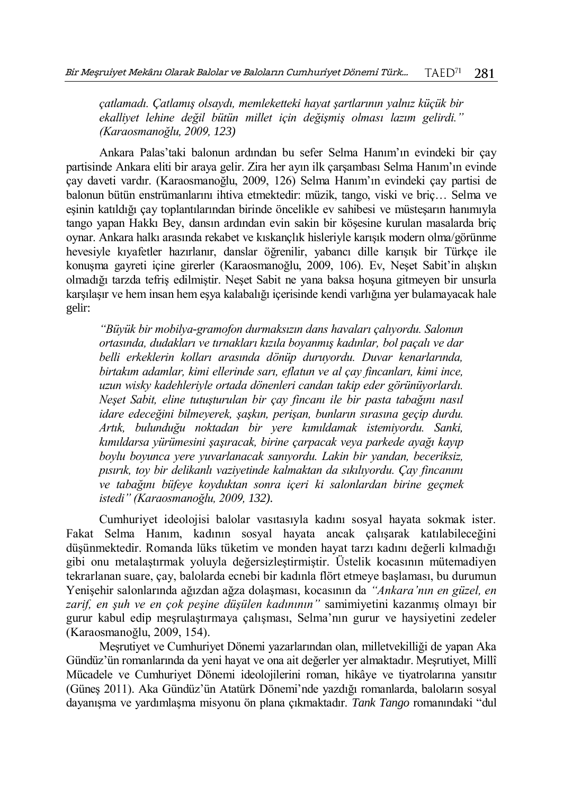*çatlamadı. Çatlamış olsaydı, memleketteki hayat şartlarının yalnız küçük bir ekalliyet lehine değil bütün millet için değişmiş olması lazım gelirdi." (Karaosmanoğlu, 2009, 123)*

Ankara Palas'taki balonun ardından bu sefer Selma Hanım'ın evindeki bir çay partisinde Ankara eliti bir araya gelir. Zira her ayın ilk çarşambası Selma Hanım'ın evinde çay daveti vardır. (Karaosmanoğlu, 2009, 126) Selma Hanım'ın evindeki çay partisi de balonun bütün enstrümanlarını ihtiva etmektedir: müzik, tango, viski ve briç… Selma ve eşinin katıldığı çay toplantılarından birinde öncelikle ev sahibesi ve müsteşarın hanımıyla tango yapan Hakkı Bey, dansın ardından evin sakin bir köşesine kurulan masalarda briç oynar. Ankara halkı arasında rekabet ve kıskançlık hisleriyle karışık modern olma/görünme hevesiyle kıyafetler hazırlanır, danslar öğrenilir, yabancı dille karışık bir Türkçe ile konuşma gayreti içine girerler (Karaosmanoğlu, 2009, 106). Ev, Neşet Sabit'in alışkın olmadığı tarzda tefriş edilmiştir. Neşet Sabit ne yana baksa hoşuna gitmeyen bir unsurla karşılaşır ve hem insan hem eşya kalabalığı içerisinde kendi varlığına yer bulamayacak hale gelir:

*"Büyük bir mobilya-gramofon durmaksızın dans havaları çalıyordu. Salonun ortasında, dudakları ve tırnakları kızıla boyanmış kadınlar, bol paçalı ve dar belli erkeklerin kolları arasında dönüp duruyordu. Duvar kenarlarında, birtakım adamlar, kimi ellerinde sarı, eflatun ve al çay fincanları, kimi ince, uzun wisky kadehleriyle ortada dönenleri candan takip eder görünüyorlardı. Neşet Sabit, eline tutuşturulan bir çay fincanı ile bir pasta tabağını nasıl idare edeceğini bilmeyerek, şaşkın, perişan, bunların sırasına geçip durdu. Artık, bulunduğu noktadan bir yere kımıldamak istemiyordu. Sanki, kımıldarsa yürümesini şaşıracak, birine çarpacak veya parkede ayağı kayıp boylu boyunca yere yuvarlanacak sanıyordu. Lakin bir yandan, beceriksiz, pısırık, toy bir delikanlı vaziyetinde kalmaktan da sıkılıyordu. Çay fincanını ve tabağını büfeye koyduktan sonra içeri ki salonlardan birine geçmek istedi" (Karaosmanoğlu, 2009, 132).* 

Cumhuriyet ideolojisi balolar vasıtasıyla kadını sosyal hayata sokmak ister. Fakat Selma Hanım, kadının sosyal hayata ancak çalışarak katılabileceğini düşünmektedir. Romanda lüks tüketim ve monden hayat tarzı kadını değerli kılmadığı gibi onu metalaştırmak yoluyla değersizleştirmiştir. Üstelik kocasının mütemadiyen tekrarlanan suare, çay, balolarda ecnebi bir kadınla flört etmeye başlaması, bu durumun Yenişehir salonlarında ağızdan ağza dolaşması, kocasının da *"Ankara'nın en güzel, en zarif, en şuh ve en çok peşine düşülen kadınının"* samimiyetini kazanmış olmayı bir gurur kabul edip meşrulaştırmaya çalışması, Selma'nın gurur ve haysiyetini zedeler (Karaosmanoğlu, 2009, 154).

Meşrutiyet ve Cumhuriyet Dönemi yazarlarından olan, milletvekilliği de yapan Aka Gündüz'ün romanlarında da yeni hayat ve ona ait değerler yer almaktadır. Meşrutiyet, Millî Mücadele ve Cumhuriyet Dönemi ideolojilerini roman, hikâye ve tiyatrolarına yansıtır (Güneş 2011). Aka Gündüz'ün Atatürk Dönemi'nde yazdığı romanlarda, baloların sosyal dayanışma ve yardımlaşma misyonu ön plana çıkmaktadır. *Tank Tango* romanındaki "dul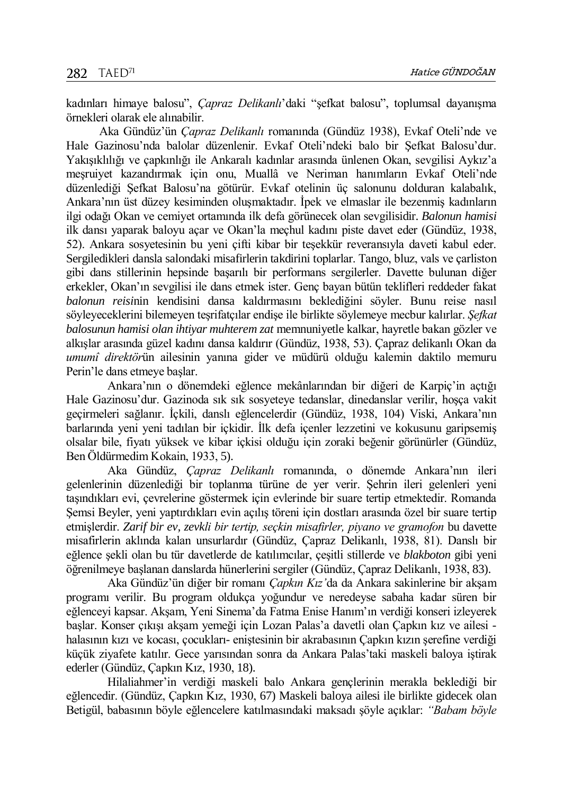kadınları himaye balosu", *Çapraz Delikanlı*'daki "şefkat balosu", toplumsal dayanışma örnekleri olarak ele alınabilir.

Aka Gündüz'ün *Çapraz Delikanlı* romanında (Gündüz 1938), Evkaf Oteli'nde ve Hale Gazinosu'nda balolar düzenlenir. Evkaf Oteli'ndeki balo bir Şefkat Balosu'dur. Yakışıklılığı ve çapkınlığı ile Ankaralı kadınlar arasında ünlenen Okan, sevgilisi Aykız'a meşruiyet kazandırmak için onu, Muallâ ve Neriman hanımların Evkaf Oteli'nde düzenlediği Şefkat Balosu'na götürür. Evkaf otelinin üç salonunu dolduran kalabalık, Ankara'nın üst düzey kesiminden oluşmaktadır. İpek ve elmaslar ile bezenmiş kadınların ilgi odağı Okan ve cemiyet ortamında ilk defa görünecek olan sevgilisidir. *Balonun hamisi* ilk dansı yaparak baloyu açar ve Okan'la meçhul kadını piste davet eder (Gündüz, 1938, 52). Ankara sosyetesinin bu yeni çifti kibar bir teşekkür reveransıyla daveti kabul eder. Sergiledikleri dansla salondaki misafirlerin takdirini toplarlar. Tango, bluz, vals ve çarliston gibi dans stillerinin hepsinde başarılı bir performans sergilerler. Davette bulunan diğer erkekler, Okan'ın sevgilisi ile dans etmek ister. Genç bayan bütün teklifleri reddeder fakat *balonun reisi*nin kendisini dansa kaldırmasını beklediğini söyler. Bunu reise nasıl söyleyeceklerini bilemeyen teşrifatçılar endişe ile birlikte söylemeye mecbur kalırlar. *Şefkat balosunun hamisi olan ihtiyar muhterem zat* memnuniyetle kalkar, hayretle bakan gözler ve alkışlar arasında güzel kadını dansa kaldırır (Gündüz, 1938, 53). Çapraz delikanlı Okan da *umumî direktör*ün ailesinin yanına gider ve müdürü olduğu kalemin daktilo memuru Perin'le dans etmeye başlar.

Ankara'nın o dönemdeki eğlence mekânlarından bir diğeri de Karpiç'in açtığı Hale Gazinosu'dur. Gazinoda sık sık sosyeteye tedanslar, dinedanslar verilir, hoşça vakit geçirmeleri sağlanır. İçkili, danslı eğlencelerdir (Gündüz, 1938, 104) Viski, Ankara'nın barlarında yeni yeni tadılan bir içkidir. İlk defa içenler lezzetini ve kokusunu garipsemiş olsalar bile, fiyatı yüksek ve kibar içkisi olduğu için zoraki beğenir görünürler (Gündüz, Ben Öldürmedim Kokain, 1933, 5).

Aka Gündüz, *Çapraz Delikanlı* romanında, o dönemde Ankara'nın ileri gelenlerinin düzenlediği bir toplanma türüne de yer verir. Şehrin ileri gelenleri yeni taşındıkları evi, çevrelerine göstermek için evlerinde bir suare tertip etmektedir. Romanda Şemsi Beyler, yeni yaptırdıkları evin açılış töreni için dostları arasında özel bir suare tertip etmişlerdir. *Zarif bir ev, zevkli bir tertip, seçkin misafirler, piyano ve gramofon* bu davette misafirlerin aklında kalan unsurlardır (Gündüz, Çapraz Delikanlı, 1938, 81). Danslı bir eğlence şekli olan bu tür davetlerde de katılımcılar, çeşitli stillerde ve *blakboton* gibi yeni öğrenilmeye başlanan danslarda hünerlerini sergiler (Gündüz, Çapraz Delikanlı, 1938, 83).

Aka Gündüz'ün diğer bir romanı *Çapkın Kız'*da da Ankara sakinlerine bir akşam programı verilir. Bu program oldukça yoğundur ve neredeyse sabaha kadar süren bir eğlenceyi kapsar. Akşam, Yeni Sinema'da Fatma Enise Hanım'ın verdiği konseri izleyerek başlar. Konser çıkışı akşam yemeği için Lozan Palas'a davetli olan Çapkın kız ve ailesi halasının kızı ve kocası, çocukları- eniştesinin bir akrabasının Çapkın kızın şerefine verdiği küçük ziyafete katılır. Gece yarısından sonra da Ankara Palas'taki maskeli baloya iştirak ederler (Gündüz, Çapkın Kız, 1930, 18).

Hilaliahmer'in verdiği maskeli balo Ankara gençlerinin merakla beklediği bir eğlencedir. (Gündüz, Çapkın Kız, 1930, 67) Maskeli baloya ailesi ile birlikte gidecek olan Betigül, babasının böyle eğlencelere katılmasındaki maksadı şöyle açıklar: *"Babam böyle*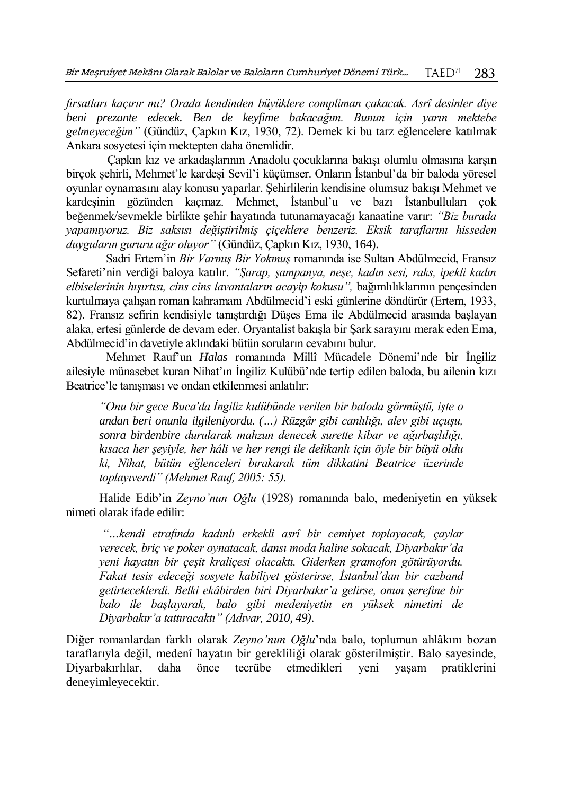*fırsatları kaçırır mı? Orada kendinden büyüklere compliman çakacak. Asrî desinler diye beni prezante edecek. Ben de keyfime bakacağım. Bunun için yarın mektebe gelmeyeceğim"* (Gündüz, Çapkın Kız, 1930, 72). Demek ki bu tarz eğlencelere katılmak Ankara sosyetesi için mektepten daha önemlidir.

Çapkın kız ve arkadaşlarının Anadolu çocuklarına bakışı olumlu olmasına karşın birçok şehirli, Mehmet'le kardeşi Sevil'i küçümser. Onların İstanbul'da bir baloda yöresel oyunlar oynamasını alay konusu yaparlar. Şehirlilerin kendisine olumsuz bakışı Mehmet ve kardeşinin gözünden kaçmaz. Mehmet, İstanbul'u ve bazı İstanbulluları çok beğenmek/sevmekle birlikte şehir hayatında tutunamayacağı kanaatine varır: *"Biz burada yapamıyoruz. Biz saksısı değiştirilmiş çiçeklere benzeriz. Eksik taraflarını hisseden duyguların gururu ağır oluyor"* (Gündüz, Çapkın Kız, 1930, 164).

Sadri Ertem'in *Bir Varmış Bir Yokmuş* romanında ise Sultan Abdülmecid, Fransız Sefareti'nin verdiği baloya katılır. *"Şarap, şampanya, neşe, kadın sesi, raks, ipekli kadın elbiselerinin hışırtısı, cins cins lavantaların acayip kokusu",* bağımlılıklarının pençesinden kurtulmaya çalışan roman kahramanı Abdülmecid'i eski günlerine döndürür (Ertem, 1933, 82). Fransız sefirin kendisiyle tanıştırdığı Düşes Ema ile Abdülmecid arasında başlayan alaka, ertesi günlerde de devam eder. Oryantalist bakışla bir Şark sarayını merak eden Ema, Abdülmecid'in davetiyle aklındaki bütün soruların cevabını bulur.

Mehmet Rauf'un *Halas* romanında Millî Mücadele Dönemi'nde bir İngiliz ailesiyle münasebet kuran Nihat'ın İngiliz Kulübü'nde tertip edilen baloda, bu ailenin kızı Beatrice'le tanışması ve ondan etkilenmesi anlatılır:

*"Onu bir gece Buca'da İngiliz kulübünde verilen bir baloda görmüştü, işte o andan beri onunla ilgileniyordu. (…) Rüzgâr gibi canlılığı, alev gibi uçuşu, sonra birdenbire durularak mahzun denecek surette kibar ve ağırbaşlılığı, kısaca her şeyiyle, her hâli ve her rengi ile delikanlı için öyle bir büyü oldu ki, Nihat, bütün eğlenceleri bırakarak tüm dikkatini Beatrice üzerinde toplayıverdi" (Mehmet Rauf, 2005: 55).*

Halide Edib'in *Zeyno'nun Oğlu* (1928) romanında balo, medeniyetin en yüksek nimeti olarak ifade edilir:

*"…kendi etrafında kadınlı erkekli asrî bir cemiyet toplayacak, çaylar verecek, briç ve poker oynatacak, dansı moda haline sokacak, Diyarbakır'da yeni hayatın bir çeşit kraliçesi olacaktı. Giderken gramofon götürüyordu. Fakat tesis edeceği sosyete kabiliyet gösterirse, İstanbul'dan bir cazband getirteceklerdi. Belki ekâbirden biri Diyarbakır'a gelirse, onun şerefine bir balo ile başlayarak, balo gibi medeniyetin en yüksek nimetini de Diyarbakır'a tattıracaktı" (Adıvar, 2010, 49).*

Diğer romanlardan farklı olarak *Zeyno'nun Oğlu*'nda balo, toplumun ahlâkını bozan taraflarıyla değil, medenî hayatın bir gerekliliği olarak gösterilmiştir. Balo sayesinde, Diyarbakırlılar, daha önce tecrübe etmedikleri yeni yaşam pratiklerini deneyimleyecektir.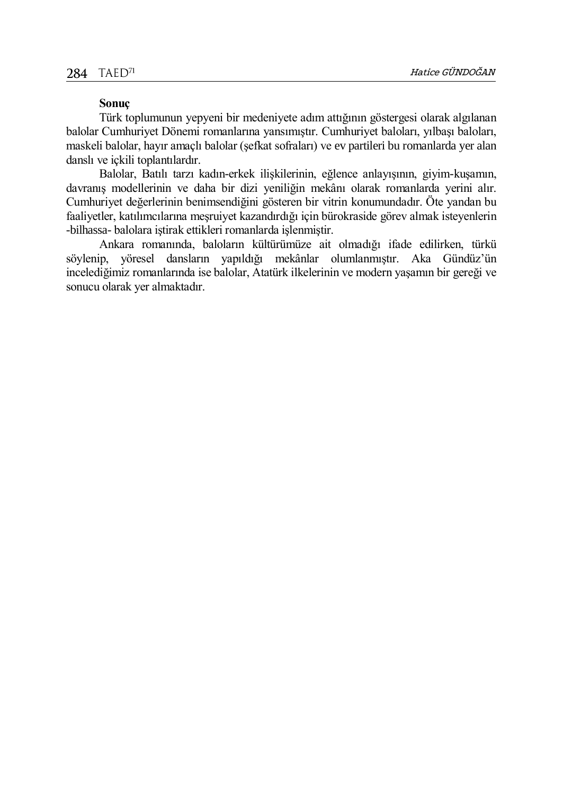## **Sonuç**

Türk toplumunun yepyeni bir medeniyete adım attığının göstergesi olarak algılanan balolar Cumhuriyet Dönemi romanlarına yansımıştır. Cumhuriyet baloları, yılbaşı baloları, maskeli balolar, hayır amaçlı balolar (şefkat sofraları) ve ev partileri bu romanlarda yer alan danslı ve içkili toplantılardır.

Balolar, Batılı tarzı kadın-erkek ilişkilerinin, eğlence anlayışının, giyim-kuşamın, davranış modellerinin ve daha bir dizi yeniliğin mekânı olarak romanlarda yerini alır. Cumhuriyet değerlerinin benimsendiğini gösteren bir vitrin konumundadır. Öte yandan bu faaliyetler, katılımcılarına meşruiyet kazandırdığı için bürokraside görev almak isteyenlerin -bilhassa- balolara iştirak ettikleri romanlarda işlenmiştir.

Ankara romanında, baloların kültürümüze ait olmadığı ifade edilirken, türkü söylenip, yöresel dansların yapıldığı mekânlar olumlanmıştır. Aka Gündüz'ün incelediğimiz romanlarında ise balolar, Atatürk ilkelerinin ve modern yaşamın bir gereği ve sonucu olarak yer almaktadır.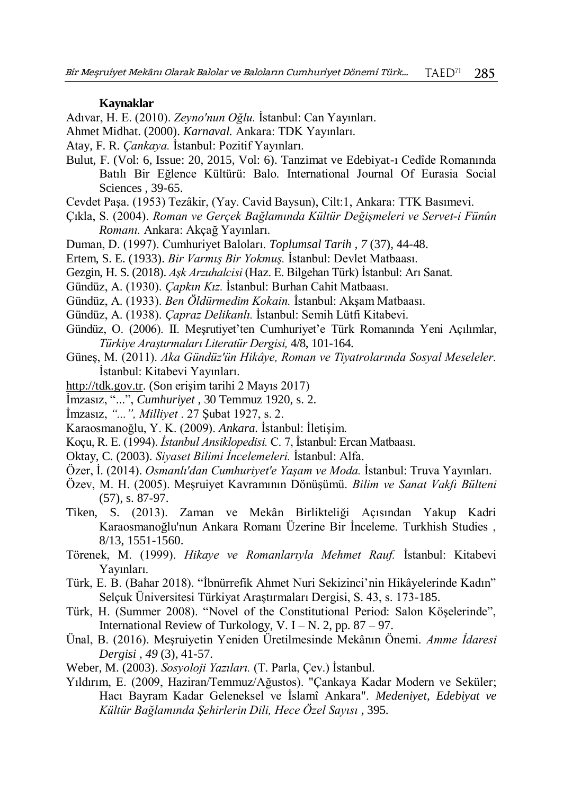#### **Kaynaklar**

Adıvar, H. E. (2010). *Zeyno'nun Oğlu.* İstanbul: Can Yayınları.

- Ahmet Midhat. (2000). *Karnaval.* Ankara: TDK Yayınları.
- Atay, F. R. *Çankaya.* İstanbul: Pozitif Yayınları.
- Bulut, F. (Vol: 6, Issue: 20, 2015, Vol: 6). Tanzimat ve Edebiyat-ı Cedîde Romanında Batılı Bir Eğlence Kültürü: Balo. International Journal Of Eurasia Social Sciences , 39-65.
- Cevdet Paşa. (1953) Tezâkir, (Yay. Cavid Baysun), Cilt:1, Ankara: TTK Basımevi.
- Çıkla, S. (2004). *Roman ve Gerçek Bağlamında Kültür Değişmeleri ve Servet-i Fünûn Romanı.* Ankara: Akçağ Yayınları.
- Duman, D. (1997). Cumhuriyet Baloları. *Toplumsal Tarih , 7* (37), 44-48.
- Ertem, S. E. (1933). *Bir Varmış Bir Yokmuş.* İstanbul: Devlet Matbaası.
- Gezgin, H. S. (2018). *Aşk Arzuhalcisi* (Haz. E. Bilgehan Türk) İstanbul: Arı Sanat.
- Gündüz, A. (1930). *Çapkın Kız.* İstanbul: Burhan Cahit Matbaası.
- Gündüz, A. (1933). *Ben Öldürmedim Kokain.* İstanbul: Akşam Matbaası.
- Gündüz, A. (1938). *Çapraz Delikanlı.* İstanbul: Semih Lütfi Kitabevi.
- Gündüz, O. (2006). II. Meşrutiyet'ten Cumhuriyet'e Türk Romanında Yeni Açılımlar, *Türkiye Araştırmaları Literatür Dergisi,* 4/8, 101-164.
- Güneş, M. (2011). *Aka Gündüz'ün Hikâye, Roman ve Tiyatrolarında Sosyal Meseleler.* İstanbul: Kitabevi Yayınları.
- [http://tdk.gov.tr.](http://tdk.gov.tr/) (Son erişim tarihi 2 Mayıs 2017)
- İmzasız, "...", *Cumhuriyet* , 30 Temmuz 1920, s. 2.
- İmzasız, *"...", Milliyet* . 27 Şubat 1927, s. 2.
- Karaosmanoğlu, Y. K. (2009). *Ankara.* İstanbul: İletişim.
- Koçu, R. E. (1994). *İstanbul Ansiklopedisi.* C. 7, İstanbul: Ercan Matbaası.
- Oktay, C. (2003). *Siyaset Bilimi İncelemeleri.* İstanbul: Alfa.
- Özer, İ. (2014). *Osmanlı'dan Cumhuriyet'e Yaşam ve Moda.* İstanbul: Truva Yayınları.
- Özev, M. H. (2005). Meşruiyet Kavramının Dönüşümü. *Bilim ve Sanat Vakfı Bülteni* (57), s. 87-97.
- Tiken, S. (2013). Zaman ve Mekân Birlikteliği Açısından Yakup Kadri Karaosmanoğlu'nun Ankara Romanı Üzerine Bir İnceleme. Turkhish Studies , 8/13, 1551-1560.
- Törenek, M. (1999). *Hikaye ve Romanlarıyla Mehmet Rauf.* İstanbul: Kitabevi Yayınları.
- Türk, E. B. (Bahar 2018). "İbnürrefik Ahmet Nuri Sekizinci'nin Hikâyelerinde Kadın" Selçuk Üniversitesi Türkiyat Araştırmaları Dergisi, S. 43, s. 173-185.
- Türk, H. (Summer 2008). "Novel of the Constitutional Period: Salon Köşelerinde", International Review of Turkology, V. I – N. 2, pp.  $87 - 97$ .
- Ünal, B. (2016). Meşruiyetin Yeniden Üretilmesinde Mekânın Önemi. *Amme İdaresi Dergisi , 49* (3), 41-57.
- Weber, M. (2003). *Sosyoloji Yazıları.* (T. Parla, Çev.) İstanbul.
- Yıldırım, E. (2009, Haziran/Temmuz/Ağustos). "Çankaya Kadar Modern ve Seküler; Hacı Bayram Kadar Geleneksel ve İslamî Ankara". *Medeniyet, Edebiyat ve Kültür Bağlamında Şehirlerin Dili, Hece Özel Sayısı* , 395.